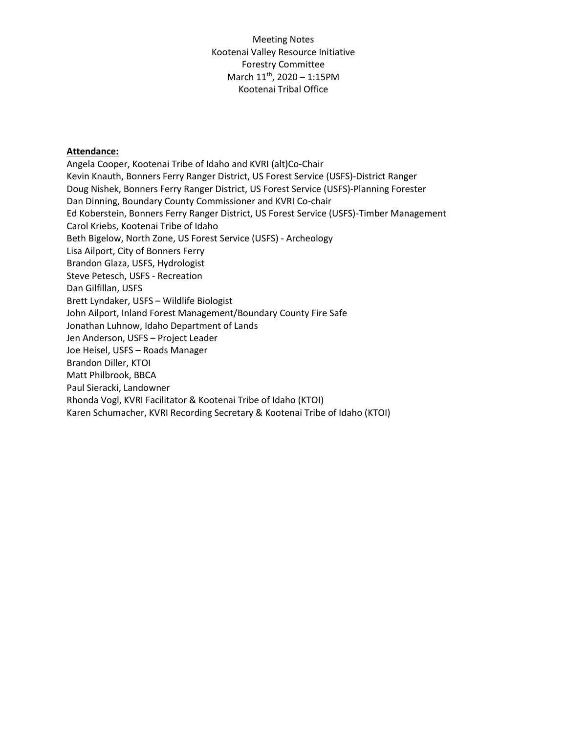#### **Attendance:**

Angela Cooper, Kootenai Tribe of Idaho and KVRI (alt)Co-Chair Kevin Knauth, Bonners Ferry Ranger District, US Forest Service (USFS)-District Ranger Doug Nishek, Bonners Ferry Ranger District, US Forest Service (USFS)-Planning Forester Dan Dinning, Boundary County Commissioner and KVRI Co-chair Ed Koberstein, Bonners Ferry Ranger District, US Forest Service (USFS)-Timber Management Carol Kriebs, Kootenai Tribe of Idaho Beth Bigelow, North Zone, US Forest Service (USFS) - Archeology Lisa Ailport, City of Bonners Ferry Brandon Glaza, USFS, Hydrologist Steve Petesch, USFS - Recreation Dan Gilfillan, USFS Brett Lyndaker, USFS – Wildlife Biologist John Ailport, Inland Forest Management/Boundary County Fire Safe Jonathan Luhnow, Idaho Department of Lands Jen Anderson, USFS – Project Leader Joe Heisel, USFS – Roads Manager Brandon Diller, KTOI Matt Philbrook, BBCA Paul Sieracki, Landowner Rhonda Vogl, KVRI Facilitator & Kootenai Tribe of Idaho (KTOI) Karen Schumacher, KVRI Recording Secretary & Kootenai Tribe of Idaho (KTOI)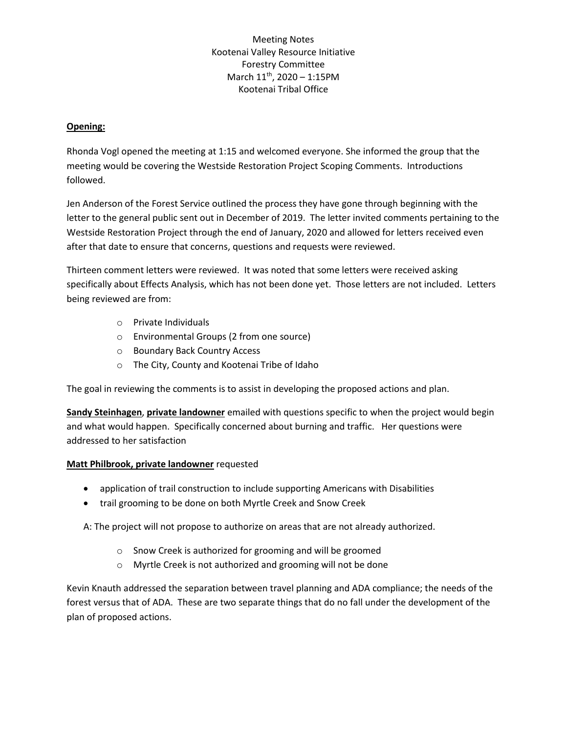### **Opening:**

Rhonda Vogl opened the meeting at 1:15 and welcomed everyone. She informed the group that the meeting would be covering the Westside Restoration Project Scoping Comments. Introductions followed.

Jen Anderson of the Forest Service outlined the process they have gone through beginning with the letter to the general public sent out in December of 2019. The letter invited comments pertaining to the Westside Restoration Project through the end of January, 2020 and allowed for letters received even after that date to ensure that concerns, questions and requests were reviewed.

Thirteen comment letters were reviewed. It was noted that some letters were received asking specifically about Effects Analysis, which has not been done yet. Those letters are not included. Letters being reviewed are from:

- o Private Individuals
- o Environmental Groups (2 from one source)
- o Boundary Back Country Access
- o The City, County and Kootenai Tribe of Idaho

The goal in reviewing the comments is to assist in developing the proposed actions and plan.

**Sandy Steinhagen**, **private landowner** emailed with questions specific to when the project would begin and what would happen. Specifically concerned about burning and traffic. Her questions were addressed to her satisfaction

#### **Matt Philbrook, private landowner** requested

- application of trail construction to include supporting Americans with Disabilities
- trail grooming to be done on both Myrtle Creek and Snow Creek

A: The project will not propose to authorize on areas that are not already authorized.

- o Snow Creek is authorized for grooming and will be groomed
- o Myrtle Creek is not authorized and grooming will not be done

Kevin Knauth addressed the separation between travel planning and ADA compliance; the needs of the forest versus that of ADA. These are two separate things that do no fall under the development of the plan of proposed actions.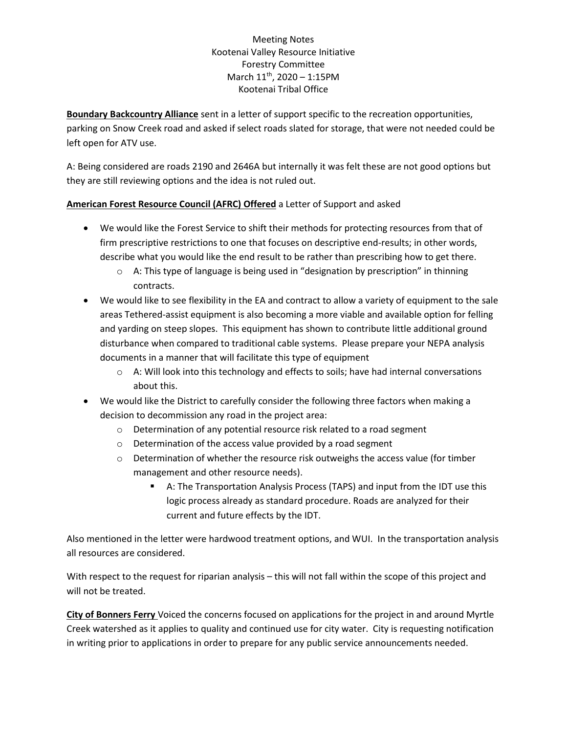**Boundary Backcountry Alliance** sent in a letter of support specific to the recreation opportunities, parking on Snow Creek road and asked if select roads slated for storage, that were not needed could be left open for ATV use.

A: Being considered are roads 2190 and 2646A but internally it was felt these are not good options but they are still reviewing options and the idea is not ruled out.

# **American Forest Resource Council (AFRC) Offered** a Letter of Support and asked

- We would like the Forest Service to shift their methods for protecting resources from that of firm prescriptive restrictions to one that focuses on descriptive end-results; in other words, describe what you would like the end result to be rather than prescribing how to get there.
	- $\circ$  A: This type of language is being used in "designation by prescription" in thinning contracts.
- We would like to see flexibility in the EA and contract to allow a variety of equipment to the sale areas Tethered-assist equipment is also becoming a more viable and available option for felling and yarding on steep slopes. This equipment has shown to contribute little additional ground disturbance when compared to traditional cable systems. Please prepare your NEPA analysis documents in a manner that will facilitate this type of equipment
	- $\circ$  A: Will look into this technology and effects to soils; have had internal conversations about this.
- We would like the District to carefully consider the following three factors when making a decision to decommission any road in the project area:
	- o Determination of any potential resource risk related to a road segment
	- o Determination of the access value provided by a road segment
	- o Determination of whether the resource risk outweighs the access value (for timber management and other resource needs).
		- A: The Transportation Analysis Process (TAPS) and input from the IDT use this logic process already as standard procedure. Roads are analyzed for their current and future effects by the IDT.

Also mentioned in the letter were hardwood treatment options, and WUI. In the transportation analysis all resources are considered.

With respect to the request for riparian analysis – this will not fall within the scope of this project and will not be treated.

**City of Bonners Ferry** Voiced the concerns focused on applications for the project in and around Myrtle Creek watershed as it applies to quality and continued use for city water. City is requesting notification in writing prior to applications in order to prepare for any public service announcements needed.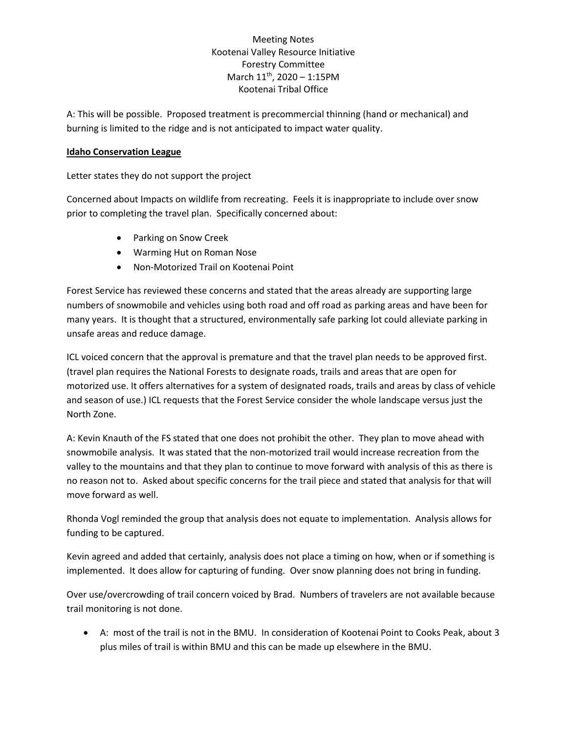A: This will be possible. Proposed treatment is precommercial thinning (hand or mechanical) and burning is limited to the ridge and is not anticipated to impact water quality.

#### **Idaho Conservation League**

Letter states they do not support the project

Concerned about Impacts on wildlife from recreating. Feels it is inappropriate to include over snow prior to completing the travel plan. Specifically concerned about:

- Parking on Snow Creek
- Warming Hut on Roman Nose
- Non-Motorized Trail on Kootenai Point

Forest Service has reviewed these concerns and stated that the areas already are supporting large numbers of snowmobile and vehicles using both road and off road as parking areas and have been for many years. It is thought that a structured, environmentally safe parking lot could alleviate parking in unsafe areas and reduce damage.

ICL voiced concern that the approval is premature and that the travel plan needs to be approved first. (travel plan requires the National Forests to designate roads, trails and areas that are open for motorized use. It offers alternatives for a system of designated roads, trails and areas by class of vehicle and season of use.) ICL requests that the Forest Service consider the whole landscape versus just the North Zone.

A: Kevin Knauth of the FS stated that one does not prohibit the other. They plan to move ahead with snowmobile analysis. It was stated that the non-motorized trail would increase recreation from the valley to the mountains and that they plan to continue to move forward with analysis of this as there is no reason not to. Asked about specific concerns for the trail piece and stated that analysis for that will move forward as well.

Rhonda Vogl reminded the group that analysis does not equate to implementation. Analysis allows for funding to be captured.

Kevin agreed and added that certainly, analysis does not place a timing on how, when or if something is implemented. It does allow for capturing of funding. Over snow planning does not bring in funding.

Over use/overcrowding of trail concern voiced by Brad. Numbers of travelers are not available because trail monitoring is not done.

• A: most of the trail is not in the BMU. In consideration of Kootenai Point to Cooks Peak, about 3 plus miles of trail is within BMU and this can be made up elsewhere in the BMU.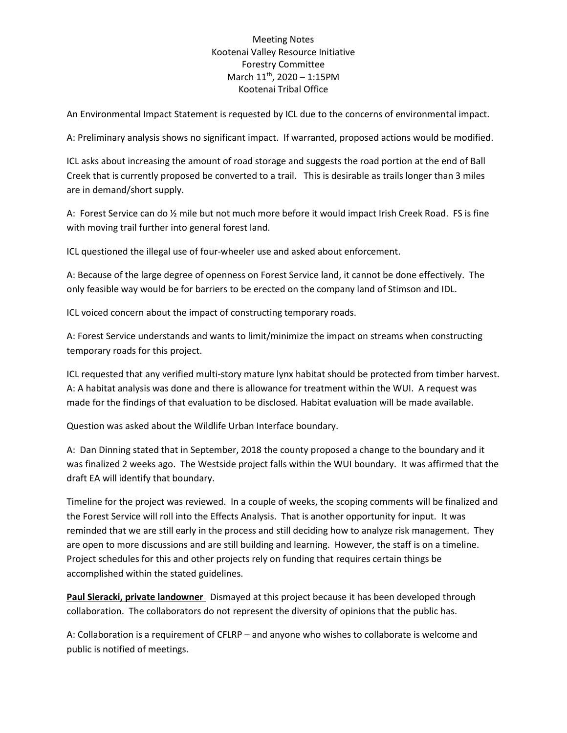An Environmental Impact Statement is requested by ICL due to the concerns of environmental impact.

A: Preliminary analysis shows no significant impact. If warranted, proposed actions would be modified.

ICL asks about increasing the amount of road storage and suggests the road portion at the end of Ball Creek that is currently proposed be converted to a trail. This is desirable as trails longer than 3 miles are in demand/short supply.

A: Forest Service can do ½ mile but not much more before it would impact Irish Creek Road. FS is fine with moving trail further into general forest land.

ICL questioned the illegal use of four-wheeler use and asked about enforcement.

A: Because of the large degree of openness on Forest Service land, it cannot be done effectively. The only feasible way would be for barriers to be erected on the company land of Stimson and IDL.

ICL voiced concern about the impact of constructing temporary roads.

A: Forest Service understands and wants to limit/minimize the impact on streams when constructing temporary roads for this project.

ICL requested that any verified multi-story mature lynx habitat should be protected from timber harvest. A: A habitat analysis was done and there is allowance for treatment within the WUI. A request was made for the findings of that evaluation to be disclosed. Habitat evaluation will be made available.

Question was asked about the Wildlife Urban Interface boundary.

A: Dan Dinning stated that in September, 2018 the county proposed a change to the boundary and it was finalized 2 weeks ago. The Westside project falls within the WUI boundary. It was affirmed that the draft EA will identify that boundary.

Timeline for the project was reviewed. In a couple of weeks, the scoping comments will be finalized and the Forest Service will roll into the Effects Analysis. That is another opportunity for input. It was reminded that we are still early in the process and still deciding how to analyze risk management. They are open to more discussions and are still building and learning. However, the staff is on a timeline. Project schedules for this and other projects rely on funding that requires certain things be accomplished within the stated guidelines.

**Paul Sieracki, private landowner** Dismayed at this project because it has been developed through collaboration. The collaborators do not represent the diversity of opinions that the public has.

A: Collaboration is a requirement of CFLRP – and anyone who wishes to collaborate is welcome and public is notified of meetings.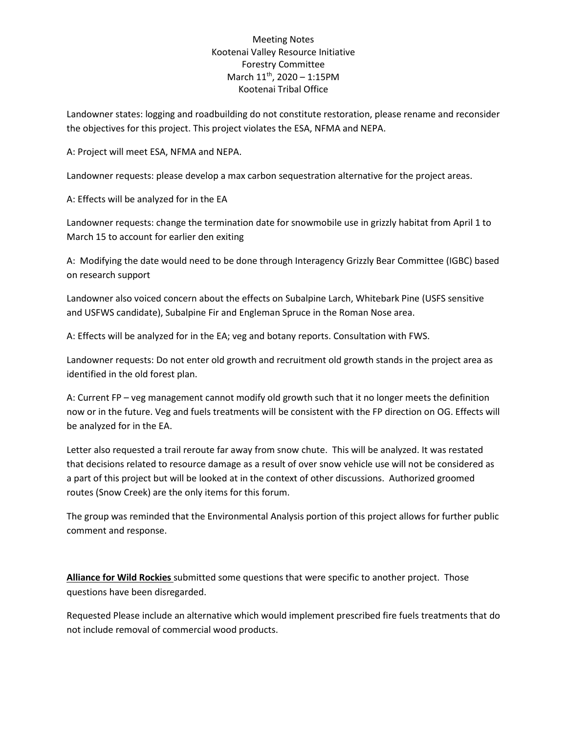Landowner states: logging and roadbuilding do not constitute restoration, please rename and reconsider the objectives for this project. This project violates the ESA, NFMA and NEPA.

A: Project will meet ESA, NFMA and NEPA.

Landowner requests: please develop a max carbon sequestration alternative for the project areas.

A: Effects will be analyzed for in the EA

Landowner requests: change the termination date for snowmobile use in grizzly habitat from April 1 to March 15 to account for earlier den exiting

A: Modifying the date would need to be done through Interagency Grizzly Bear Committee (IGBC) based on research support

Landowner also voiced concern about the effects on Subalpine Larch, Whitebark Pine (USFS sensitive and USFWS candidate), Subalpine Fir and Engleman Spruce in the Roman Nose area.

A: Effects will be analyzed for in the EA; veg and botany reports. Consultation with FWS.

Landowner requests: Do not enter old growth and recruitment old growth stands in the project area as identified in the old forest plan.

A: Current FP – veg management cannot modify old growth such that it no longer meets the definition now or in the future. Veg and fuels treatments will be consistent with the FP direction on OG. Effects will be analyzed for in the EA.

Letter also requested a trail reroute far away from snow chute. This will be analyzed. It was restated that decisions related to resource damage as a result of over snow vehicle use will not be considered as a part of this project but will be looked at in the context of other discussions. Authorized groomed routes (Snow Creek) are the only items for this forum.

The group was reminded that the Environmental Analysis portion of this project allows for further public comment and response.

**Alliance for Wild Rockies** submitted some questions that were specific to another project. Those questions have been disregarded.

Requested Please include an alternative which would implement prescribed fire fuels treatments that do not include removal of commercial wood products.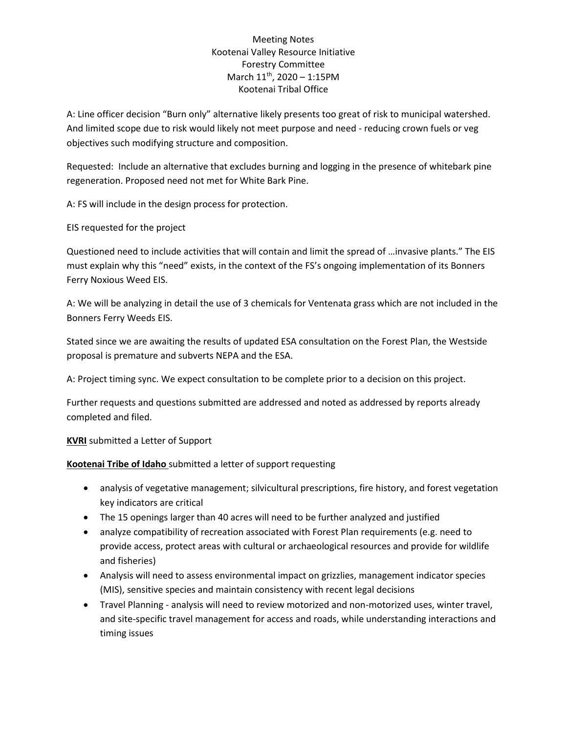A: Line officer decision "Burn only" alternative likely presents too great of risk to municipal watershed. And limited scope due to risk would likely not meet purpose and need - reducing crown fuels or veg objectives such modifying structure and composition.

Requested: Include an alternative that excludes burning and logging in the presence of whitebark pine regeneration. Proposed need not met for White Bark Pine.

A: FS will include in the design process for protection.

EIS requested for the project

Questioned need to include activities that will contain and limit the spread of …invasive plants." The EIS must explain why this "need" exists, in the context of the FS's ongoing implementation of its Bonners Ferry Noxious Weed EIS.

A: We will be analyzing in detail the use of 3 chemicals for Ventenata grass which are not included in the Bonners Ferry Weeds EIS.

Stated since we are awaiting the results of updated ESA consultation on the Forest Plan, the Westside proposal is premature and subverts NEPA and the ESA.

A: Project timing sync. We expect consultation to be complete prior to a decision on this project.

Further requests and questions submitted are addressed and noted as addressed by reports already completed and filed.

**KVRI** submitted a Letter of Support

**Kootenai Tribe of Idaho** submitted a letter of support requesting

- analysis of vegetative management; silvicultural prescriptions, fire history, and forest vegetation key indicators are critical
- The 15 openings larger than 40 acres will need to be further analyzed and justified
- analyze compatibility of recreation associated with Forest Plan requirements (e.g. need to provide access, protect areas with cultural or archaeological resources and provide for wildlife and fisheries)
- Analysis will need to assess environmental impact on grizzlies, management indicator species (MIS), sensitive species and maintain consistency with recent legal decisions
- Travel Planning analysis will need to review motorized and non-motorized uses, winter travel, and site-specific travel management for access and roads, while understanding interactions and timing issues